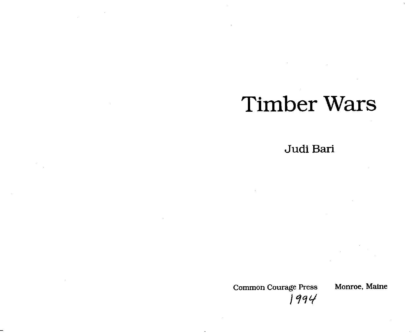# Timber Wars

## Judi **Bari**

**Common Courage Press Monroe, Maine | 994**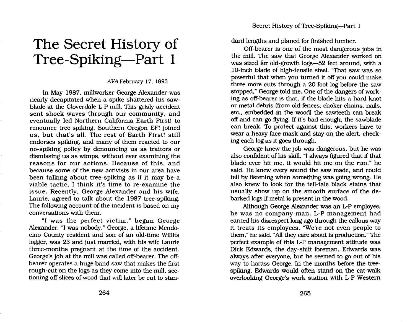## The Secret History of Tree-Spiking-Part 1

## AVA **February** 17, 1993

In May 1987, millworker George Alexander was nearly decapitated when a spike shattered his sawblade at the Cloverdale LP mill. This grisly accident sent shock-waves through our community, and eventually led Northern California Earth First! to renounce tree-spiking. Southern Oregon EF! joined us, but that's all. The rest of Earth First! still endorses spiking, and many of them reacted to our no-spiking policy by denouncing us as traitors or dismissing us as wimps, without ever examining the reasons for our actions. Because of this, and because some of the new activists in our area have been talking about tree-spiking as if it may be a viable tactic, I think it's time to re-examine the issue. Recently, George Alexander and his wife, Laurie, agreed to talk about the 1987 tree-spiking. The following account of the incident is based on my conversations with them.

"I was the perfect victim," began George Alexander. "I was nobody." George, a lifetime Mendocino County resident and son of an old-time Willits logger, was 23 and just married, with his wife Laurie three-months pregnant at the time of the accident. George's job at the mill was called off-bearer. The offbearer operates a huge band saw that makes the first rough-cut on the logs as they come into the mill, sectioning off slices of wood that will later be cut to standard lengths and planed for finished lumber.

Off-bearer is one of the most dangerous jobs in the mill. The saw that George Alexander worked on was sized for old-growth logs-52 feet around, **with** a 10-inch blade of high-tensile steel. 'That saw was so powerful that when you turned it off you could make three more cuts through a 20-foot log before the saw stopped," George told me. One of the dangers of working as off-bearer is that, if the blade hits a hard knot or metal debris (from old fences, choker chains, nails, etc., embedded in the wood) the sawteeth can break off and can go flying. If it's bad enough, the sawblade can break. To protect against this, workers have to wear a heavy face mask and stay on the alert, checking each log as it goes through.

George knew the job was dangerous, but he was also confident of his skill. "I always figured that if that blade ever hit me, it would hit me on the run," he said. He knew every sound the saw made, and could tell by listening when something was going wrong. He also knew to look for the tell-tale black stains that usually show up on the smooth surface of the debarked logs if metal is present in the wood.

Although George Alexander was an LP employee, he was no company man. L-P management had earned his disrespect long ago through the callous way it treats its employees. "We're not even people to them," he said. *"All* they care about is production." The perfect example of this LP management attitude was Dick Edwards, the day-shift foreman. Edwards was always after everyone, but he seemed to go out of his way to harass George. In the months before the treespiking, Edwards would often stand on the cat-walk overlooking George's work station with **LP Western**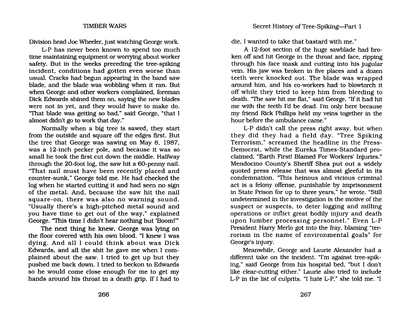Division head Joe Wheeler, just watching George work.

L-P has never been known to spend too much time maintaining equipment or worrying about worker safety. But in the weeks preceding the tree-spiking incident, conditions had gotten even worse than usual. Cracks had begun appearing in the band saw blade, and the blade was wobbling when it ran. But when George and other workers complained, foreman Dick Edwards shined them on, saying the new blades were not in yet, and they would have to make do. 'That blade was getting so bad," said George, "that I almost didn't go to work that day."

Normally when a big tree is sawed, they start from the outside and square off the edges first. But the tree that George was sawing on May 8, 1987, was a 12-inch pecker pole, and because it was so small he took the first cut down the middle. Halfway through the 20-foot log, the saw hit a 60-penny nail. "That nail must have been recently placed and counter-sunk," George told me. He had checked the log when he started cutting it and had seen no sign of the metal. And, because the saw hit the nail square-on, there was also no warning sound. "Usually there's a high-pitched metal sound and you have time to get out of the way," explained George. "This time I didn't hear nothing but 'Booml'"

The next thing he knew, George was lying on the floor covered with his own blood. "I knew I was dying. And all I could think about was Dick Edwards, and all the shit he gave me when I complained about the saw. I tried to get up but they pushed me back down. I tried to beckon to Edwards so he would come close enough for me to get my hands around his throat in a death grip. If I had to

die, I wanted to take that bastard with me."

A 12-foot section of the huge sawblade had broken off and hit George in the throat and face, ripping through his face mask and cutting into his jugular vein. His jaw was broken in five places and a dozen teeth were knocked out. The blade was wrapped around him, and his co-workers had to blowtorch it off while, they tried to keep him from bleeding to death. 'The saw hit me flat," said George. "If it had hit me with the teeth I'd be dead. I'm only here because my friend Rick Phillips held my veins together in the hour before the ambulance came."

L-P didn't call the press right away, but when they did they had a field day. "Tree Spiking Terrorism," screamed the headline in the Press-Democrat, while the Eureka Times-Standard proclaimed, "Earth First! Blamed For Workers' Injuries." Mendocino County's Sheriff Shea put out a widely quoted press release that was almost gleeful in its condemnation. 'This heinous and vicious criminal act is a felony offense, punishable by imprisonment in State Prison for up to three years," he wrote. "Still undetermined in the investigation is the motive of the suspect or suspects, to deter logging and milling operations or inflict great bodily injury and death upon lumber processing personnel." Even L-P President **Harry** Merlo got into the fray, blaming "terrorism in the name of environmental goals" for George's injury.

Meanwhile, George and Laurie Alexander had a different take on the incident. "I'm against tree-spiking," said George from his hospital bed, "but I don't like clear-cutting either." Laurie also tried to include L-P in the list of culprits. "I hate LP," she told me. "I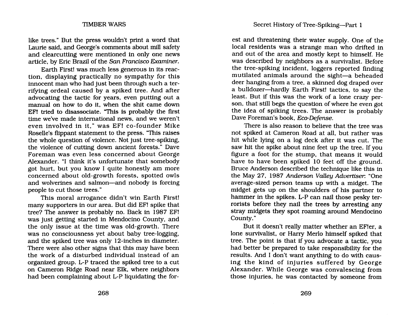like trees." But the press wouldn't print a word that Laurie said, and George's comments about mill safety and clearcutting were mentioned in only one news article, by Eric Brazil of the *San Francisco Examiner.* 

Earth First! was much less generous in its reaction, displaying practically no sympathy for this innocent man who had just been through such a terrifying ordeal caused by a spiked tree. And after advocating the tactic for years, even putting out a manual on how to do it, when the shit came down EF! tried to disassociate. "This is probably the first time we've made international news, and we weren't even involved in it," was EF! co-founder Mike Roselle's flippant statement to the press. 'This raises the whole question of violence. Not just tree-spiking, the violence of cutting down ancient forests." Dave Foreman was even less concerned about George Alexander. "I think it's unfortunate that somebody got hurt, but you know I quite honestly am more concerned about old-growth forests, spotted owls and wolverines and salmon-and nobody is forcing people to cut those trees."

This moral arrogance didn't win Earth First! many supporters in our area. But did EF! spike that tree? The answer is probably no. Back in 1987 EF! was just getting started in Mendocino County, and the only issue at the time was old-growth. There was no consciousness yet about baby tree-logging, and the spiked tree was only 12-inches in diameter. There were also other signs that this may have been the work of a disturbed individual instead of an organized group. LP traced the spiked tree to a cut on Cameron Ridge Road near Elk, where neighbors had been complaining about L-P liquidating the for-

est and threatening their water supply. One of the local residents was a strange man who drifted in and out of the area and mostly kept to himself. He was described by neighbors as a survivalist. Before the tree-spiking incident, loggers reported finding mutilated animals around the sight-a beheaded deer hanging from a tree, a skinned dog draped over a bulldozer-hardly Earth First! tactics, to say the least. But if this was the work of a lone crazy person, that still begs the question of where he even got the idea of spiking trees. The answer is probably Dave Foreman's book, *Eco-Defense.* 

There is also reason to believe that the tree was not spiked at Cameron Road at all, but rather was hit while lying on a log deck after it was cut. The saw hit the spike about nine feet up the tree. If you figure a foot for the stump, that means it would have to have been spiked 10 feet off the ground. Bruce Anderson described the technique like this in the May 27, 1987 *Anderson Valley Advertiser:* "One average-sized person teams up with a midget. The midget gets up on the shoulders of his partner to hammer in the spikes. L-P can nail those pesky terrorists before they nail the trees by arresting any stray midgets they spot roaming around Mendocino County."

But it doesn't really matter whether an EF!er, a lone survivalist, or Harry Merlo himself spiked that tree. The point is that if you advocate a tactic, you had better be prepared to take responsibility for the results. And I don't want anything to do with causing the kind of injuries suffered by George Alexander. While George was convalescing from those injuries, he was contacted by someone from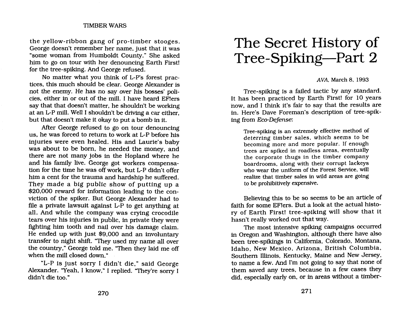the yellow-ribbon gang of pro-timber stooges. George doesn't remember her name, just that it was "some woman from Humboldt County." She asked him to go on tour with her denouncing Earth First! for the tree-spiking. And George refused.

No matter what you think of L-P's forest practices, this much should be clear. George Alexander is not the enemy. He has no say over his bosses' policies, either in or out of the mill. I have heard EF!ers say that that doesn't matter, he shouldn't be working at an LP mill. Well I shouldn't be driving a car either, but that doesn't make it okay to put a bomb in it.

After George refused to go on tour denouncing us, he was forced to return to work at L-P before his injuries were even healed. His and Laurie's baby was about to be born, he needed the money, and there are not many jobs in the Hopland where he and his family live. George got workers compensation for the time he was off work, but L-P didn't offer him a cent for the trauma and hardship he suffered. They made a big public show of putting up a \$20,000 reward for information leading to the conviction of the spiker. But George Alexander had to file a private lawsuit against L-P to get anything at all. And while the company was crying crocodile tears over his injuries in public, in private they were fighting him tooth and nail over his damage claim. He ended up with just \$9,000 and an involuntary transfer to night shift. "They used my name all over the country," George told me. 'Then they laid me off when the mill closed down."

"L-P is just sorry I didn't die," said George Alexander. "Yeah, I know," I replied. "They're sorry I didn't die too."

## The Secret History of Tree-Spiking-Part 2

## AVA, March 8, 1993

Tree-spiking is a failed tactic by any standard. It has been practiced by Earth First! for 10 years now, and I think it's fair to say that the results are in. Here's Dave Foreman's description of tree-spiking from Eco-Defense:

Tree-spiking is an extremely effective method of deterring timber sales, which seems to be becoming more and more popular. If enough trees are spiked in roadless areas, eventually the corporate thugs in the timber company boardrooms, along with their corrupt lackeys who wear the uniform of the Forest Service, will realize that timber sales in wild areas are going to be prohibitively expensive.

Believing this to be so seems to be an article of faith for some EF!ers. But a look at the actual history of Earth First! tree-spiking will show that it hasn't really worked out that way.

The most intensive spiking campaigns occurred in Oregon and Washington, although there have also been tree-spikings in California, Colorado, Montana, Idaho, New Mexico, Arizona, British Columbia, Southern Illinois, Kentucky, Maine and New Jersey, to name a few. And I'm not going to say that none of them saved any trees, because in a few cases they did, especially early on, or in areas without a timber-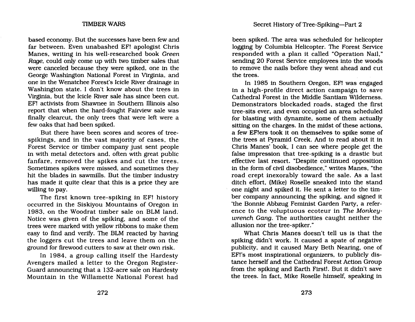based economy. But the successes have been few and far between. Even unabashed EF! apologist Chris Manes, writing in his well-researched book *Green Rage,* could only come up with two timber sales that were canceled because they were spiked, one in the George Washington National Forest in Virginia, and one in the Wenatchee Forest's Icicle River drainage in Washington state. I don't know about the trees in Virginia, but the Icicle River sale has since been cut. EF! activists from Shawnee in Southern Illinois also report that when the hard-fought Fairview sale was finally clearcut, the only trees that were left were a few oaks that had been spiked.

But there have been scores and scores of treespikings, and in the vast majority of cases, the Forest Service or timber company just sent people in with metal detectors and, often with great public fanfare, removed the spikes and cut the trees. Sometimes spikes were missed, and sometimes they hit the blades in sawmills. But the timber industry has made it quite clear that this is a price they are willing to pay.

The first known tree-spiking in EF! history occurred in the Siskiyou Mountains of Oregon in 1983, on the Woodrat timber sale on BLM land. Notice was given of the spiking, and some of the trees were marked with yellow ribbons to make them easy to find and verify. The BLM reacted by having the loggers cut the trees and leave them on the ground for firewood cutters to saw at their own risk.

In 1984, a group calling itself the Hardesty Avengers mailed a letter to the Oregon Register-Guard announcing that a 132-acre sale on Hardesty Mountain in the Willamette National Forest had

been spiked. The area was scheduled for helicopter logging by Columbia Helicopter. The Forest Service responded with a plan it called "Operation Nail," sending 20 Forest Service employees into the woods to remove the nails before they went ahead and cut the trees.

In 1985 in Southern Oregon, EF! was engaged in a high-profile direct action campaign to save Cathedral Forest in the Middle Santiam Wilderness. Demonstrators blockaded roads, staged the first tree-sits ever, and even occupied an area scheduled for blasting with dynamite, some of them actually sitting on the charges. In the midst of these actions, a few EF!ers took it on themselves to spike some of the trees at Pyramid Creek. And to read about it in Chris Manes' book, I can see where people get the false impression that tree-spiking is a drastic but effective last resort. "Despite continued opposition in the form of civil disobedience," writes Manes, "the road crept inexorably toward the sale. As a last ditch effort, (Mike) Roselle sneaked into the stand one night and spiked it. He sent a letter to the timber company announcing the spiking, and signed it 'the Bonnie Abbzug Feminist Garden Party, a reference to the voluptuous ecoteur in *The Monkeywrench Gang.* The authorities caught neither the allusion nor the tree-spiker."

What Chris Manes doesn't tell us is that the spiking didn't work. It caused a spate of negative publicity, and it caused Mary Beth Nearing, one of EF!'s most inspirational organizers, to publicly distance herself and the Cathedral Forest Action Group from the spiking and Earth First!. But it didn't save the trees. In fact, Mike Roselle himself, speaking in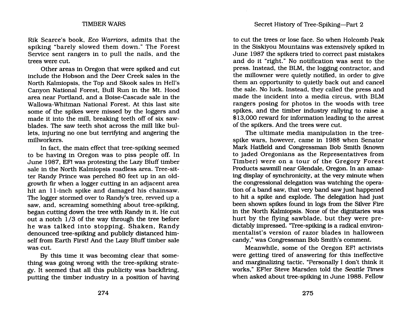Rik Scarce's book, Eco Warriors, admits that the spiking "barely slowed them down." The Forest Service sent rangers in to pull the nails, and the trees were cut.

Other areas in Oregon that were spiked and cut include the Hobson and the Deer Creek sales in the North Kalmiopsis, the Top and Skook sales in Hell's Canyon National Forest, Bull Run in the Mt. Hood area near Portland, and a Boise-Cascade sale in the Wallowa-Whitman National Forest. At this last site some of the spikes were missed by the loggers and made it into the mill, breaking teeth off of six sawblades. The saw teeth shot across the mill like bullets, injuring no one but terrifying and angering the millworkers.

In fact, the main effect that tree-spiking seemed to be having in Oregon was to piss people off. In June 1987, EF! was protesting the **Lazy** Bluff timber sale in the North Kalmiopsis roadless area. Tree-sitter Randy Prince was perched 80 feet up in an oldgrowth fir when a logger cutting in an adjacent area hit an 11-inch spike and damaged his chainsaw. The logger stormed over to Randy's tree, rewed up a saw, and, screaming something about tree-spiking, began cutting down the tree with Randy in it. He cut out a notch 1/3 of the way through the tree before he was talked into stopping. Shaken, Randy denounced tree-spiking and publicly distanced himself from Earth First! And the Lazy Bluff timber sale was cut.

By this time it was becoming clear that something was going wrong with the tree-spiking strate**gy.** It seemed that all this publicity was backfiring, putting the timber industry in a position of having to cut the trees or lose face. So when Holcomb Peak in the Siskiyou Mountains was extensively spiked in June 1987 the spikers tried to correct past mistakes and do it "right." No notification was sent to the press. Instead, the BLM, the logging contractor, and the millowner were quietly notified, in order to give them an opportunity to quietly back out and cancel the sale. No luck. Instead, they called the press and made the incident into a media circus, with BLM rangers posing for photos in the woods with tree spikes, and the timber industry rallying to raise a \$13,000 reward for information leading to the arrest of the spikers. And the trees were cut.

The ultimate media manipulation in the treespike wars, however, came in 1988 when Senator Mark Hatfield and Congressman Bob Smith (known to jaded Oregonians as the Representatives from Timber) were on a tour of the Gregory Forest Products sawmill near Glendale, Oregon. In an **amaz**ing display of synchronicity, at the very minute when the congressional delegation was watching the operation of a band saw, that very band saw just happened to hit a spike and explode. The delegation had just been shown spikes found in logs from the Silver Fire in the North Kalmiopsis. None of the dignitaries was hurt by the flying sawblade, but they were predictably impressed. 'Tree-spiking is a radical environmentalist's version of razor blades in halloween candy," was Congressman Bob Smith's comment.

Meanwhile, some of the Oregon EF! activists were getting tired of answering for this ineffective and marginalizing tactic. "Personally I don't think it works," EFIer Steve Marsden told the *Seattle* **Times**  when asked about tree-spiking in June 1988. Fellow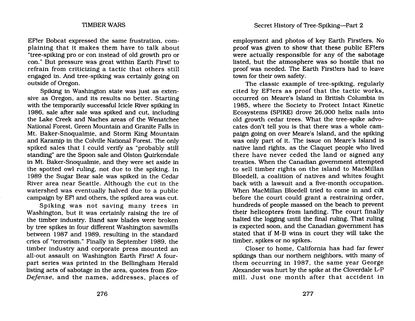EF!er Bobcat expressed the same frustration, complaining that it makes them have to talk about "tree-spiking pro or con instead of old growth pro or con." But pressure was great within Earth First! to refrain from criticizing a tactic that others still engaged in. And tree-spiking was certainly going on outside of Oregon.

Spiking in Washington state was just as extensive as Oregon, and its results no better. Starting with the temporarily successful Icicle River spiking in 1986, sale after sale was spiked and cut, including the Lake Creek and Naches areas of the Wenatchee National Forest, Green Mountain and Granite Falls in Mt. Baker-Snoqualmie, and Storm King Mountain and Karamip in the Colville National Forest. The only spiked sales that I could verify as "probably still standing" are the Spoon sale and Olston Quirkendale in Mt. Baker-Snoqualmie, and they were set aside in the spotted owl ruling, not due to the spiking. In 1989 the Sugar Bear sale was spiked in the Cedar River area near Seattle. Although the cut in the watershed was eventually halved due to a public campaign by EF! and others, the spiked area was cut.

Spiking was not saving many trees in Washington, but it was certainly raising the ire of the timber industry. Band saw blades were broken by tree spikes in four different Washington sawmills between 1987 and 1989, resulting in the standard cries of "terrorism." Finally in September 1989, the timber industry and corporate press mounted an all-out assault on Washington Earth First! A fourpart series was printed in the Bellingham Herald listing acts of sabotage in the area, quotes from *Eco-***Defense,** and the names, addresses, places of

employment and photos of key Earth Firstlers. No proof was given to show that these public EFlers were actually responsible for any of the sabotage listed, but the atmosphere was so hostile that no proof was needed. The Earth First!ers had to leave town for their own safety.

The classic example of tree-spiking, regularly cited by EF!ers as proof that the tactic works, occurred on Meare's Island in British Columbia in 1985, where the Society to Protect Intact Kinetic Ecosystems (SPIKE) drove 26,000 helix nails into old growth cedar trees. What the tree-spike advocates don't tell you is that there was a whole campaign going on over Meare's Island, and the spiking was only part of it. The issue on Meare's Island is native land rights, as the Claquet people who lived there have never ceded the land or signed any treaties. When the Canadian government attempted to sell timber rights on the island to MacMillan Bloedell, a coalition of natives and whites fought back with a lawsuit and a five-month occupation. When MacMillan Bloedell tried to come in and cut before the court could grant a restraining order, hundreds of people massed on the beach to prevent their helicopters from landing. The court finally halted the logging until the final ruling. That ruling is expected soon, and the Canadian government has stated that if M-B wins in court they will take the timber, spikes or no spikes.

Closer to home, California has had far fewer spikings than our northern neighbors, with many of them occurring in 1987, the same year George Alexander was hurt by the spike at the Cloverdale L-P mill. Just one month after that accident in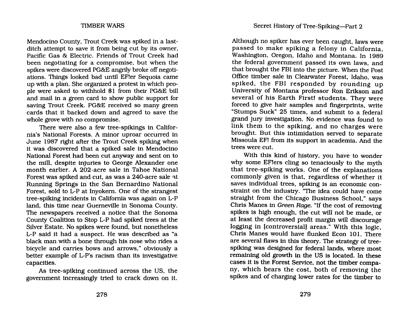Mendocino County, Trout Creek was spiked in a lastditch attempt to save it from being cut by its owner, Pacific Gas & Electric. Friends of Trout Creek had been negotiating for a compromise, but when the spikes were discovered PG&E angrily broke off negotiations. Things looked bad until EF!er Sequoia came up with a plan. She organized a protest in which people were asked to withhold \$1 from their PG&E bill and mail in a green card to show public support for saving Trout Creek. PG&E received so many green cards that it backed down and agreed to save the whole grove with no compromise.

There were also a few tree-spikings in California's National Forests. A minor uproar occurred in June 1987 right after the Trout Creek spiking when it was discovered that a spiked sale in Mendocino National Forest had been cut anyway and sent on to the mill, despite injuries to George Alexander one month earlier. A 202-acre sale in Tahoe National Forest was spiked and cut, as was a 240-acre sale qt Running Springs in the San Bernardino National Forest, sold to LP at Inyokern. One of the strangest tree-spiking incidents in California was again on L-P land, this time near Guerneville in Sonoma County. The newspapers received a notice that the Sonoma County Coalition to Stop L-P had spiked trees at the Silver Estate. No spikes were found, but nonetheless L-P said it had a suspect. He was described as "a black man with a bone through his nose who rides a bicycle and carries bows and arrows," obviously a better example of L-P's racism than its investigative capacities.

As tree-spiking continued across the US, the government increasingly tried to crack down on it.

Although no spiker has ever been caught, laws were passed to make spiking a felony in California, Washington, Oregon, Idaho and Montana. In 1989 the federal government passed its own laws, and that brought the FBI into the picture. When the Post Office timber sale in Clearwater Forest, Idaho, was spiked, the FBI responded by rounding up University of Montana professor Ron Erikson and several of his Earth First! students. They were forced to give hair samples and fingerprints, write "Stumps Suck" 25 times, and submit to a federal grand jury investigation. No evidence was found to link them to the spiking, and no charges were brought. But this intimidation served to separate Missoula EF! from its support in academia. And the trees were cut.

With this kind of history, you have to wonder why some EF!ers cling so tenaciously to the myth that tree-spiking works. One of the explanations commonly given is that, regardless of whether it saves individual trees, spiking is an economic constraint on the industry. "The idea could have come straight from the Chicago Business School," says Chris Manes in *Green Rage.* "If the cost of removing spikes is high enough, the cut will not be made, or at least the decreased profit margin will discourage logging in [controversial] areas." With this logic, Chris Manes would have flunked Econ 101. There are several flaws in this theory. The strategy of treespiking was designed for federal lands, where most remaining old growth in the US is located. In these cases it is the Forest Service, not the timber company, which bears the cost, both of removing the spikes and of charging lower rates for the timber to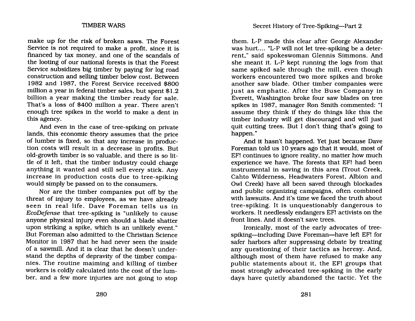make up for the risk of broken saws. The Forest Service is not required to make a profit, since it is financed by tax money, and one of the scandals of the looting of our national forests is that the Forest Service subsidizes big timber by paying for log road construction and selling timber below cost. Between 1982 and 1987, the Forest Service received \$800 million a year in federal timber sales, but spent \$1.2 billion a year making the timber ready for sale. That's a loss of \$400 million a year. There aren't enough tree spikes in the world to make a dent in this agency.

And even in the case of tree-spiking on private lands, this economic theory assumes that the price of lumber is fixed, so that any increase in production costs will result in a decrease in profits. But old-growth timber is so valuable, and there is so little of it left, that the timber industry could charge anything it wanted and still sell every stick. Any increase in production costs due to tree-spiking would simply be passed on to the consumers.

Nor are the timber companies put off by the threat of injury to employees, as we have already seen in real life. Dave Foreman tells us in *EcoDefense* that tree-spiking is "unlikely to cause anyone physical injury even should a blade shatter upon striking a spike, which is an unlikely event." But Foreman also admitted to the Christian Science Monitor in 1987 that he had never seen the inside of a sawmill. **And** it is clear that he doesn't understand the depths of depravity of the timber companies. The routine maiming and killing of timber workers is coldly calculated into the cost of the lumber, and a few more injuries are not going to stop them. L-P made this clear after George Alexander was hurt.... "L-P will not let tree-spiking be a deterrent," said spokeswoman Glennis Simmons. And she meant it. L-P kept running the logs from that same spiked sale through the mill, even though workers encountered two more spikes and broke another saw blade. Other timber companies were just as emphatic. After the Buse Company in Everett, Washington broke four saw blades on tree spikes in 1987, manager Ron Smith commented: "I assume they think if they do things like this the timber industry will get discouraged and will just quit cutting trees. But I don't thing that's going to happen."

And it hasn't happened. Yet just because Dave Foreman told us 10 years ago that it would, most of EF! continues to ignore reality, no matter how much experience we have. The forests that EFI had been instrumental in saving in this area (Trout Creek, Cahto Wilderness, Headwaters Forest, Albion and Owl Creek) have all been saved through blockades and public organizing campaigns, often combined with lawsuits. And it's time we faced the truth about tree-spiking. It is unquestionably dangerous to workers. It needlessly endangers EF! activists on the front lines. And it doesn't save trees.

Ironically, most of the early advocates of treespiking-including Dave Foreman-have left EF! for safer harbors after suppressing debate by treating any questioning of their tactics as heresy. And, although most of them have refused to make any public statements about it, the EFI groups that most strongly advocated tree-spiking in the early days have quietly abandoned the tactic. Yet the